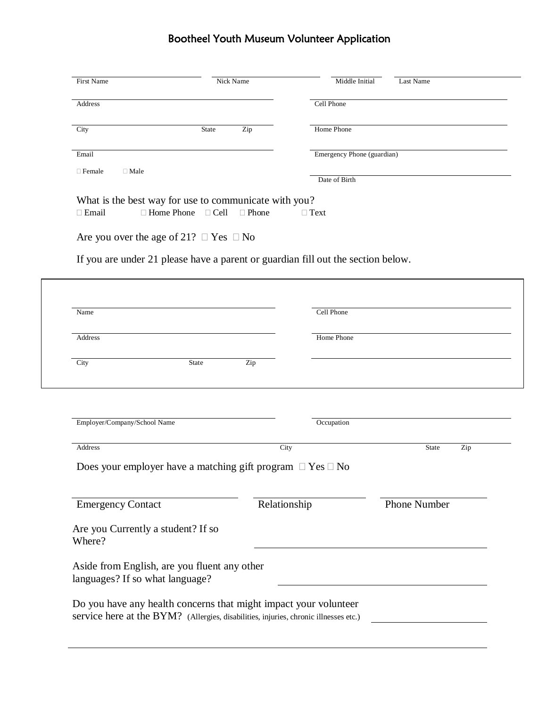## Bootheel Youth Museum Volunteer Application

| First Name                   |                                                       | Nick Name | Middle Initial<br>Last Name                                                      |  |
|------------------------------|-------------------------------------------------------|-----------|----------------------------------------------------------------------------------|--|
| Address                      |                                                       |           | Cell Phone                                                                       |  |
| City                         | State                                                 | Zip       | Home Phone                                                                       |  |
| Email                        |                                                       |           | Emergency Phone (guardian)                                                       |  |
| $\Box$ Female<br>$\Box$ Male |                                                       |           | Date of Birth                                                                    |  |
|                              | What is the best way for use to communicate with you? |           |                                                                                  |  |
| $\Box$ Email                 | □ Home Phone<br>$\Box$ Cell                           | □ Phone   | $\Box$ Text                                                                      |  |
|                              | Are you over the age of 21? $\Box$ Yes $\Box$ No      |           |                                                                                  |  |
|                              |                                                       |           | If you are under 21 please have a parent or guardian fill out the section below. |  |
| Name                         |                                                       |           | Cell Phone                                                                       |  |
| Address                      |                                                       |           | Home Phone                                                                       |  |
|                              |                                                       |           |                                                                                  |  |
| City                         | State                                                 | Zip       |                                                                                  |  |
|                              |                                                       |           |                                                                                  |  |

| Address                                                              | City         | Zip<br><b>State</b> |
|----------------------------------------------------------------------|--------------|---------------------|
| Does your employer have a matching gift program $\Box$ Yes $\Box$ No |              |                     |
|                                                                      |              |                     |
|                                                                      | Relationship | <b>Phone Number</b> |
| <b>Emergency Contact</b>                                             |              |                     |

| Aside from English, are you fluent any other |  |
|----------------------------------------------|--|
| languages? If so what language?              |  |
|                                              |  |

Do you have any health concerns that might impact your volunteer service here at the BYM? (Allergies, disabilities, injuries, chronic illnesses etc.)